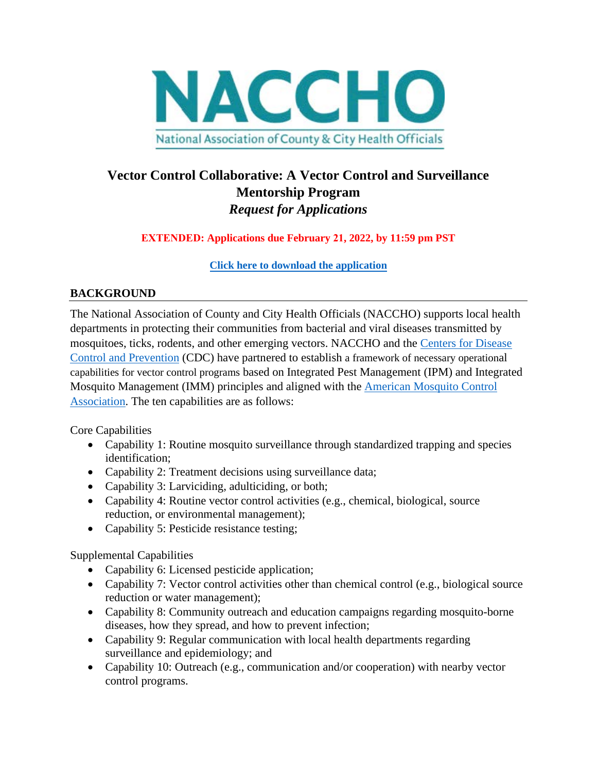

# **Vector Control Collaborative: A Vector Control and Surveillance Mentorship Program** *Request for Applications*

**EXTENDED: Applications due February 21, 2022, by 11:59 pm PST**

**[Click here to download the application](https://www.naccho.org/uploads/downloadable-resources/Final-Application_VCC-2022-Cohort-EXT.docx)**

## **BACKGROUND**

The National Association of County and City Health Officials (NACCHO) supports local health departments in protecting their communities from bacterial and viral diseases transmitted by mosquitoes, ticks, rodents, and other emerging vectors. NACCHO and the [Centers for Disease](https://www.cdc.gov/ncezid/dvbd/index.html)  [Control and Prevention](https://www.cdc.gov/ncezid/dvbd/index.html) (CDC) have partnered to establish a framework of necessary operational capabilities for vector control programs based on Integrated Pest Management (IPM) and Integrated Mosquito Management (IMM) principles and aligned with the [American Mosquito Control](https://www.mosquito.org/?)  [Association.](https://www.mosquito.org/?) The ten capabilities are as follows:

Core Capabilities

- Capability 1: Routine mosquito surveillance through standardized trapping and species identification;
- Capability 2: Treatment decisions using surveillance data;
- Capability 3: Larviciding, adulticiding, or both;
- Capability 4: Routine vector control activities (e.g., chemical, biological, source reduction, or environmental management);
- Capability 5: Pesticide resistance testing;

Supplemental Capabilities

- Capability 6: Licensed pesticide application;
- Capability 7: Vector control activities other than chemical control (e.g., biological source reduction or water management);
- Capability 8: Community outreach and education campaigns regarding mosquito-borne diseases, how they spread, and how to prevent infection;
- Capability 9: Regular communication with local health departments regarding surveillance and epidemiology; and
- Capability 10: Outreach (e.g., communication and/or cooperation) with nearby vector control programs.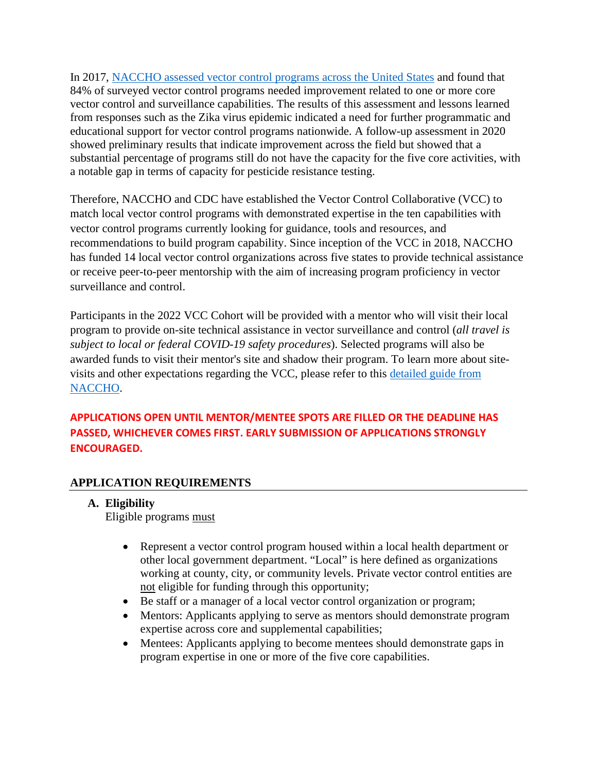In 2017, [NACCHO assessed vector control programs across the United States](https://www.naccho.org/uploads/downloadable-resources/Mosquito-control-in-the-U.S.-Report.pdf) and found that 84% of surveyed vector control programs needed improvement related to one or more core vector control and surveillance capabilities. The results of this assessment and lessons learned from responses such as the Zika virus epidemic indicated a need for further programmatic and educational support for vector control programs nationwide. A follow-up assessment in 2020 showed preliminary results that indicate improvement across the field but showed that a substantial percentage of programs still do not have the capacity for the five core activities, with a notable gap in terms of capacity for pesticide resistance testing.

Therefore, NACCHO and CDC have established the Vector Control Collaborative (VCC) to match local vector control programs with demonstrated expertise in the ten capabilities with vector control programs currently looking for guidance, tools and resources, and recommendations to build program capability. Since inception of the VCC in 2018, NACCHO has funded 14 local vector control organizations across five states to provide technical assistance or receive peer-to-peer mentorship with the aim of increasing program proficiency in vector surveillance and control.

Participants in the 2022 VCC Cohort will be provided with a mentor who will visit their local program to provide on-site technical assistance in vector surveillance and control (*all travel is subject to local or federal COVID-19 safety procedures*). Selected programs will also be awarded funds to visit their mentor's site and shadow their program. To learn more about sitevisits and other expectations regarding the VCC, please refer to this [detailed guide from](https://www.naccho.org/uploads/full-width-images/FINAL_Vector-Control-Collaborative-Program-Guide-July-2020.pdf)  [NACCHO.](https://www.naccho.org/uploads/full-width-images/FINAL_Vector-Control-Collaborative-Program-Guide-July-2020.pdf)

# **APPLICATIONS OPEN UNTIL MENTOR/MENTEE SPOTS ARE FILLED OR THE DEADLINE HAS PASSED, WHICHEVER COMES FIRST. EARLY SUBMISSION OF APPLICATIONS STRONGLY ENCOURAGED.**

#### **APPLICATION REQUIREMENTS**

#### **A. Eligibility**

Eligible programs must

- Represent a vector control program housed within a local health department or other local government department. "Local" is here defined as organizations working at county, city, or community levels. Private vector control entities are not eligible for funding through this opportunity;
- Be staff or a manager of a local vector control organization or program;
- Mentors: Applicants applying to serve as mentors should demonstrate program expertise across core and supplemental capabilities;
- Mentees: Applicants applying to become mentees should demonstrate gaps in program expertise in one or more of the five core capabilities.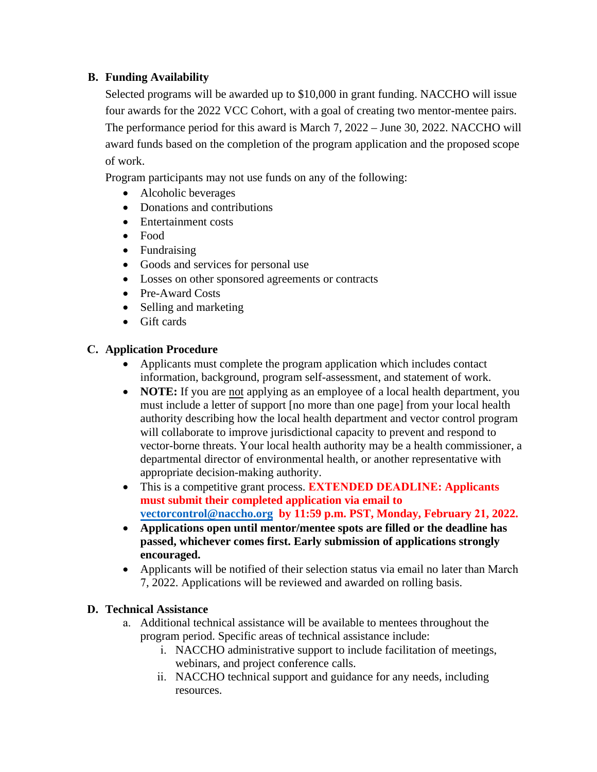#### **B. Funding Availability**

Selected programs will be awarded up to \$10,000 in grant funding. NACCHO will issue four awards for the 2022 VCC Cohort, with a goal of creating two mentor-mentee pairs. The performance period for this award is March 7, 2022 – June 30, 2022. NACCHO will award funds based on the completion of the program application and the proposed scope of work.

Program participants may not use funds on any of the following:

- Alcoholic beverages
- Donations and contributions
- Entertainment costs
- Food
- Fundraising
- Goods and services for personal use
- Losses on other sponsored agreements or contracts
- Pre-Award Costs
- Selling and marketing
- Gift cards

#### **C. Application Procedure**

- Applicants must complete the program application which includes contact information, background, program self-assessment, and statement of work.
- **NOTE:** If you are not applying as an employee of a local health department, you must include a letter of support [no more than one page] from your local health authority describing how the local health department and vector control program will collaborate to improve jurisdictional capacity to prevent and respond to vector-borne threats. Your local health authority may be a health commissioner, a departmental director of environmental health, or another representative with appropriate decision-making authority.
- This is a competitive grant process. **EXTENDED DEADLINE: Applicants must submit their completed application via email to [vectorcontrol@naccho.org](mailto:vectorcontrol@naccho.org) by 11:59 p.m. PST, Monday, February 21, 2022.**
- **Applications open until mentor/mentee spots are filled or the deadline has passed, whichever comes first. Early submission of applications strongly encouraged.**
- Applicants will be notified of their selection status via email no later than March 7, 2022. Applications will be reviewed and awarded on rolling basis.

#### **D. Technical Assistance**

- a. Additional technical assistance will be available to mentees throughout the program period. Specific areas of technical assistance include:
	- i. NACCHO administrative support to include facilitation of meetings, webinars, and project conference calls.
	- ii. NACCHO technical support and guidance for any needs, including resources.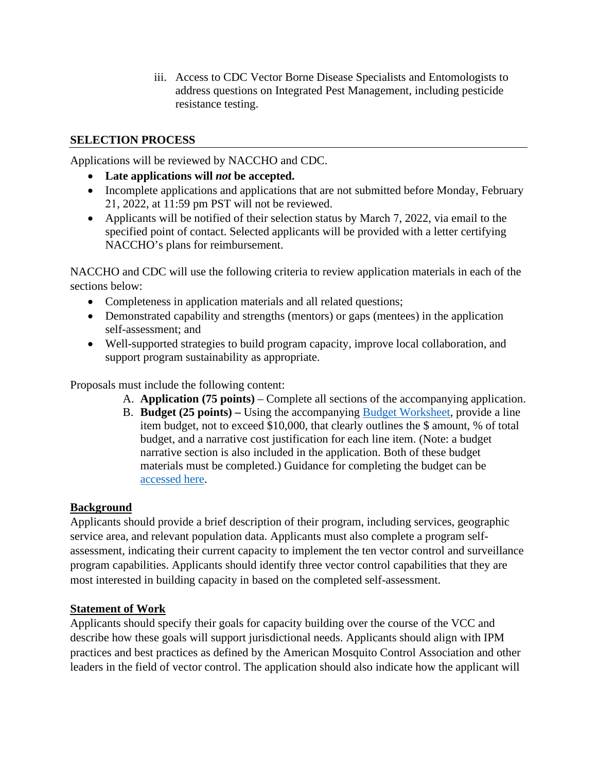iii. Access to CDC Vector Borne Disease Specialists and Entomologists to address questions on Integrated Pest Management, including pesticide resistance testing.

#### **SELECTION PROCESS**

Applications will be reviewed by NACCHO and CDC.

- **Late applications will** *not* **be accepted.**
- Incomplete applications and applications that are not submitted before Monday, February 21, 2022, at 11:59 pm PST will not be reviewed.
- Applicants will be notified of their selection status by March 7, 2022, via email to the specified point of contact. Selected applicants will be provided with a letter certifying NACCHO's plans for reimbursement.

NACCHO and CDC will use the following criteria to review application materials in each of the sections below:

- Completeness in application materials and all related questions;
- Demonstrated capability and strengths (mentors) or gaps (mentees) in the application self-assessment; and
- Well-supported strategies to build program capacity, improve local collaboration, and support program sustainability as appropriate.

Proposals must include the following content:

- A. **Application (75 points)**  Complete all sections of the accompanying application.
- B. **Budget (25 points)** Using the accompanying [Budget Worksheet,](https://www.naccho.org/uploads/downloadable-resources/Budget-Worksheet_VCC2022.xlsx) provide a line item budget, not to exceed \$10,000, that clearly outlines the \$ amount, % of total budget, and a narrative cost justification for each line item. (Note: a budget narrative section is also included in the application. Both of these budget materials must be completed.) Guidance for completing the budget can be [accessed here.](https://www.naccho.org/uploads/downloadable-resources/Budget-Guidance_RFA_VCC2022.pdf)

## **Background**

Applicants should provide a brief description of their program, including services, geographic service area, and relevant population data. Applicants must also complete a program selfassessment, indicating their current capacity to implement the ten vector control and surveillance program capabilities. Applicants should identify three vector control capabilities that they are most interested in building capacity in based on the completed self-assessment.

## **Statement of Work**

Applicants should specify their goals for capacity building over the course of the VCC and describe how these goals will support jurisdictional needs. Applicants should align with IPM practices and best practices as defined by the American Mosquito Control Association and other leaders in the field of vector control. The application should also indicate how the applicant will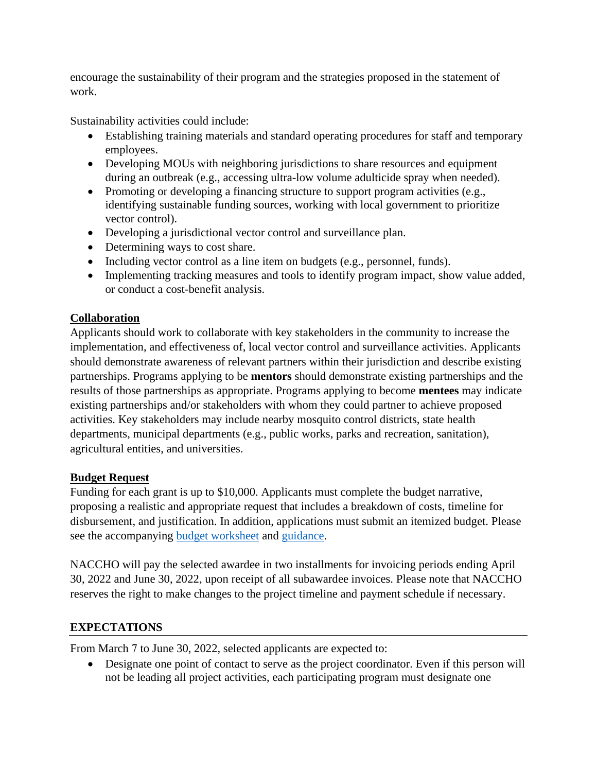encourage the sustainability of their program and the strategies proposed in the statement of work.

Sustainability activities could include:

- Establishing training materials and standard operating procedures for staff and temporary employees.
- Developing MOUs with neighboring jurisdictions to share resources and equipment during an outbreak (e.g., accessing ultra-low volume adulticide spray when needed).
- Promoting or developing a financing structure to support program activities (e.g., identifying sustainable funding sources, working with local government to prioritize vector control).
- Developing a jurisdictional vector control and surveillance plan.
- Determining ways to cost share.
- Including vector control as a line item on budgets (e.g., personnel, funds).
- Implementing tracking measures and tools to identify program impact, show value added, or conduct a cost-benefit analysis.

# **Collaboration**

Applicants should work to collaborate with key stakeholders in the community to increase the implementation, and effectiveness of, local vector control and surveillance activities. Applicants should demonstrate awareness of relevant partners within their jurisdiction and describe existing partnerships. Programs applying to be **mentors** should demonstrate existing partnerships and the results of those partnerships as appropriate. Programs applying to become **mentees** may indicate existing partnerships and/or stakeholders with whom they could partner to achieve proposed activities. Key stakeholders may include nearby mosquito control districts, state health departments, municipal departments (e.g., public works, parks and recreation, sanitation), agricultural entities, and universities.

## **Budget Request**

Funding for each grant is up to \$10,000. Applicants must complete the budget narrative, proposing a realistic and appropriate request that includes a breakdown of costs, timeline for disbursement, and justification. In addition, applications must submit an itemized budget. Please see the accompanying [budget worksheet](https://www.naccho.org/uploads/downloadable-resources/Budget-Worksheet_VCC2022.xlsx) and [guidance.](https://www.naccho.org/uploads/downloadable-resources/Budget-Guidance_RFA_VCC2022.pdf)

NACCHO will pay the selected awardee in two installments for invoicing periods ending April 30, 2022 and June 30, 2022, upon receipt of all subawardee invoices. Please note that NACCHO reserves the right to make changes to the project timeline and payment schedule if necessary.

# **EXPECTATIONS**

From March 7 to June 30, 2022, selected applicants are expected to:

• Designate one point of contact to serve as the project coordinator. Even if this person will not be leading all project activities, each participating program must designate one